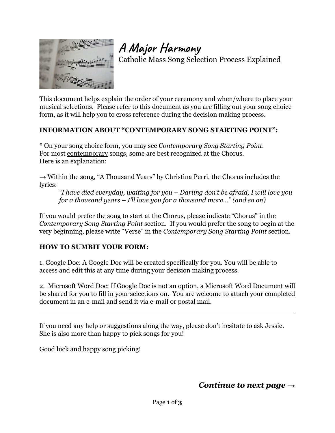

**A Major Harmony**

Catholic Mass Song Selection Process Explained

This document helps explain the order of your ceremony and when/where to place your musical selections. Please refer to this document as you are filling out your song choice form, as it will help you to cross reference during the decision making process.

#### **INFORMATION ABOUT "CONTEMPORARY SONG STARTING POINT":**

\* On your song choice form, you may see *Contemporary Song Starting Point.* For most contemporary songs, some are best recognized at the Chorus. Here is an explanation:

 $\rightarrow$  Within the song, "A Thousand Years" by Christina Perri, the Chorus includes the lyrics:

*"I have died everyday, waiting for you – Darling don't be afraid, I will love you for a thousand years – I'll love you for a thousand more…" (and so on)*

If you would prefer the song to start at the Chorus, please indicate "Chorus" in the *Contemporary Song Starting Point* section. If you would prefer the song to begin at the very beginning, please write "Verse" in the *Contemporary Song Starting Point* section.

#### **HOW TO SUMBIT YOUR FORM:**

1. Google Doc: A Google Doc will be created specifically for you. You will be able to access and edit this at any time during your decision making process.

2. Microsoft Word Doc: If Google Doc is not an option, a Microsoft Word Document will be shared for you to fill in your selections on. You are welcome to attach your completed document in an e-mail and send it via e-mail or postal mail.

If you need any help or suggestions along the way, please don't hesitate to ask Jessie. She is also more than happy to pick songs for you!

Good luck and happy song picking!

*Continue to next page →*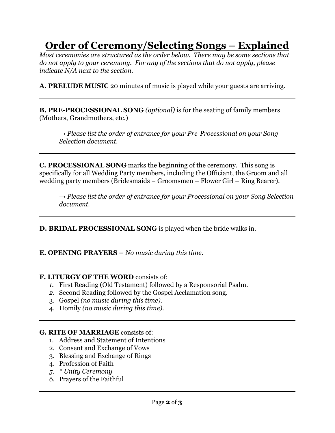# **Order of Ceremony/Selecting Songs – Explained**

*Most ceremonies are structured as the order below. There may be some sections that do not apply to your ceremony. For any of the sections that do not apply, please indicate N/A next to the section.*

**A. PRELUDE MUSIC** 20 minutes of music is played while your guests are arriving.

**B. PRE-PROCESSIONAL SONG** *(optional)* is for the seating of family members (Mothers, Grandmothers, etc.)

*→ Please list the order of entrance for your Pre-Processional on your Song Selection document.*

**C. PROCESSIONAL SONG** marks the beginning of the ceremony. This song is specifically for all Wedding Party members, including the Officiant, the Groom and all wedding party members (Bridesmaids – Groomsmen – Flower Girl – Ring Bearer).

*→ Please list the order of entrance for your Processional on your Song Selection document.*

**D. BRIDAL PROCESSIONAL SONG** is played when the bride walks in.

**E. OPENING PRAYERS –** *No music during this time.*

## **F. LITURGY OF THE WORD** consists of:

- *1.* First Reading (Old Testament) followed by a Responsorial Psalm.
- *2.* Second Reading followed by the Gospel Acclamation song*.*
- 3. Gospel *(no music during this time).*
- 4. Homily *(no music during this time).*

## **G. RITE OF MARRIAGE** consists of:

- 1. Address and Statement of Intentions
- 2. Consent and Exchange of Vows
- 3. Blessing and Exchange of Rings
- 4. Profession of Faith
- *5. \* Unity Ceremony*
- *6.* Prayers of the Faithful